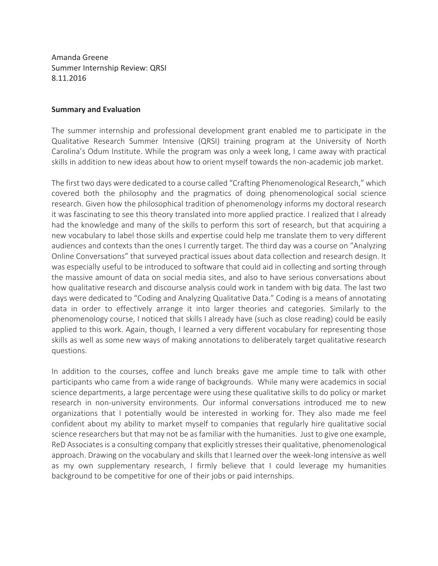Amanda Greene Summer Internship Review: QRSI 8.11.2016

## **Summary and Evaluation**

The summer internship and professional development grant enabled me to participate in the Qualitative Research Summer Intensive (QRSI) training program at the University of North Carolina's Odum Institute. While the program was only a week long, I came away with practical skills in addition to new ideas about how to orient myself towards the non-academic job market.

The first two days were dedicated to a course called "Crafting Phenomenological Research," which covered both the philosophy and the pragmatics of doing phenomenological social science research. Given how the philosophical tradition of phenomenology informs my doctoral research it was fascinating to see this theory translated into more applied practice. I realized that I already had the knowledge and many of the skills to perform this sort of research, but that acquiring a new vocabulary to label those skills and expertise could help me translate them to very different audiences and contexts than the ones I currently target. The third day was a course on "Analyzing Online Conversations" that surveyed practical issues about data collection and research design. It was especially useful to be introduced to software that could aid in collecting and sorting through the massive amount of data on social media sites, and also to have serious conversations about how qualitative research and discourse analysis could work in tandem with big data. The last two days were dedicated to "Coding and Analyzing Qualitative Data." Coding is a means of annotating data in order to effectively arrange it into larger theories and categories. Similarly to the phenomenology course, I noticed that skills I already have (such as close reading) could be easily applied to this work. Again, though, I learned a very different vocabulary for representing those skills as well as some new ways of making annotations to deliberately target qualitative research questions. 

In addition to the courses, coffee and lunch breaks gave me ample time to talk with other participants who came from a wide range of backgrounds. While many were academics in social science departments, a large percentage were using these qualitative skills to do policy or market research in non-university environments. Our informal conversations introduced me to new organizations that I potentially would be interested in working for. They also made me feel confident about my ability to market myself to companies that regularly hire qualitative social science researchers but that may not be as familiar with the humanities. Just to give one example, ReD Associates is a consulting company that explicitly stresses their qualitative, phenomenological approach. Drawing on the vocabulary and skills that I learned over the week-long intensive as well as my own supplementary research, I firmly believe that I could leverage my humanities background to be competitive for one of their jobs or paid internships.